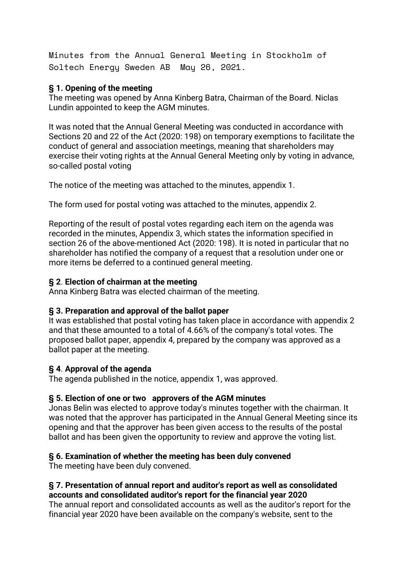Minutes from the Annual General Meeting in Stockholm of Soltech Energy Sweden AB May 26, 2021.

#### **§ 1. Opening of the meeting**

The meeting was opened by Anna Kinberg Batra, Chairman of the Board. Niclas Lundin appointed to keep the AGM minutes.

It was noted that the Annual General Meeting was conducted in accordance with Sections 20 and 22 of the Act (2020: 198) on temporary exemptions to facilitate the conduct of general and association meetings, meaning that shareholders may exercise their voting rights at the Annual General Meeting only by voting in advance, so-called postal voting

The notice of the meeting was attached to the minutes, appendix 1.

The form used for postal voting was attached to the minutes, appendix 2.

Reporting of the result of postal votes regarding each item on the agenda was recorded in the minutes, Appendix 3, which states the information specified in section 26 of the above-mentioned Act (2020: 198). It is noted in particular that no shareholder has notified the company of a request that a resolution under one or more items be deferred to a continued general meeting.

### **§ 2**. **Election of chairman at the meeting**

Anna Kinberg Batra was elected chairman of the meeting.

### **§ 3. Preparation and approval of the ballot paper**

It was established that postal voting has taken place in accordance with appendix 2 and that these amounted to a total of 4.66% of the company's total votes. The proposed ballot paper, appendix 4, prepared by the company was approved as a ballot paper at the meeting.

### **§ 4**. **Approval of the agenda**

The agenda published in the notice, appendix 1, was approved.

### **§ 5. Election of one or two approvers of the AGM minutes**

Jonas Belin was elected to approve today's minutes together with the chairman. It was noted that the approver has participated in the Annual General Meeting since its opening and that the approver has been given access to the results of the postal ballot and has been given the opportunity to review and approve the voting list.

### **§ 6. Examination of whether the meeting has been duly convened**

The meeting have been duly convened.

#### **§ 7. Presentation of annual report and auditor's report as well as consolidated accounts and consolidated auditor's report for the financial year 2020**

The annual report and consolidated accounts as well as the auditor's report for the financial year 2020 have been available on the company's website, sent to the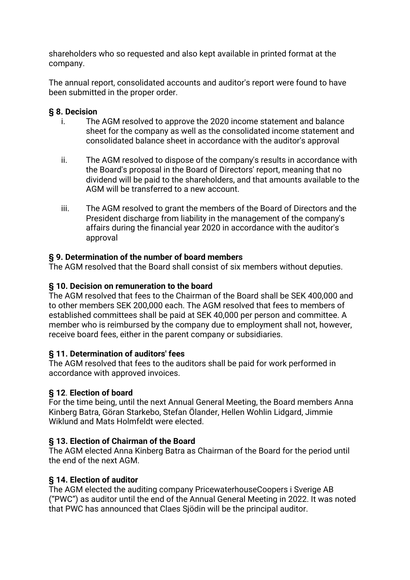shareholders who so requested and also kept available in printed format at the company.

The annual report, consolidated accounts and auditor's report were found to have been submitted in the proper order.

### **§ 8. Decision**

- i. The AGM resolved to approve the 2020 income statement and balance sheet for the company as well as the consolidated income statement and consolidated balance sheet in accordance with the auditor's approval
- ii. The AGM resolved to dispose of the company's results in accordance with the Board's proposal in the Board of Directors' report, meaning that no dividend will be paid to the shareholders, and that amounts available to the AGM will be transferred to a new account.
- iii. The AGM resolved to grant the members of the Board of Directors and the President discharge from liability in the management of the company's affairs during the financial year 2020 in accordance with the auditor's approval

## **§ 9. Determination of the number of board members**

The AGM resolved that the Board shall consist of six members without deputies.

## **§ 10. Decision on remuneration to the board**

The AGM resolved that fees to the Chairman of the Board shall be SEK 400,000 and to other members SEK 200,000 each. The AGM resolved that fees to members of established committees shall be paid at SEK 40,000 per person and committee. A member who is reimbursed by the company due to employment shall not, however, receive board fees, either in the parent company or subsidiaries.

### **§ 11. Determination of auditors' fees**

The AGM resolved that fees to the auditors shall be paid for work performed in accordance with approved invoices.

# **§ 12**. **Election of board**

For the time being, until the next Annual General Meeting, the Board members Anna Kinberg Batra, Göran Starkebo, Stefan Ölander, Hellen Wohlin Lidgard, Jimmie Wiklund and Mats Holmfeldt were elected.

### **§ 13. Election of Chairman of the Board**

The AGM elected Anna Kinberg Batra as Chairman of the Board for the period until the end of the next AGM.

# **§ 14. Election of auditor**

The AGM elected the auditing company PricewaterhouseCoopers i Sverige AB ("PWC") as auditor until the end of the Annual General Meeting in 2022. It was noted that PWC has announced that Claes Sjödin will be the principal auditor.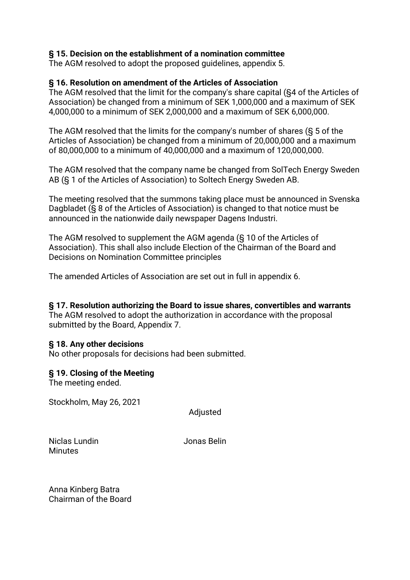#### **§ 15. Decision on the establishment of a nomination committee**

The AGM resolved to adopt the proposed guidelines, appendix 5.

#### **§ 16. Resolution on amendment of the Articles of Association**

The AGM resolved that the limit for the company's share capital (§4 of the Articles of Association) be changed from a minimum of SEK 1,000,000 and a maximum of SEK 4,000,000 to a minimum of SEK 2,000,000 and a maximum of SEK 6,000,000.

The AGM resolved that the limits for the company's number of shares (§ 5 of the Articles of Association) be changed from a minimum of 20,000,000 and a maximum of 80,000,000 to a minimum of 40,000,000 and a maximum of 120,000,000.

The AGM resolved that the company name be changed from SolTech Energy Sweden AB (§ 1 of the Articles of Association) to Soltech Energy Sweden AB.

The meeting resolved that the summons taking place must be announced in Svenska Dagbladet (§ 8 of the Articles of Association) is changed to that notice must be announced in the nationwide daily newspaper Dagens Industri.

The AGM resolved to supplement the AGM agenda (§ 10 of the Articles of Association). This shall also include Election of the Chairman of the Board and Decisions on Nomination Committee principles

The amended Articles of Association are set out in full in appendix 6.

# **§ 17. Resolution authorizing the Board to issue shares, convertibles and warrants**

The AGM resolved to adopt the authorization in accordance with the proposal submitted by the Board, Appendix 7.

#### **§ 18. Any other decisions**

No other proposals for decisions had been submitted.

#### **§ 19. Closing of the Meeting**

The meeting ended.

Stockholm, May 26, 2021

**Adjusted** 

Niclas Lundin Jonas Belin **Minutes** 

Anna Kinberg Batra Chairman of the Board